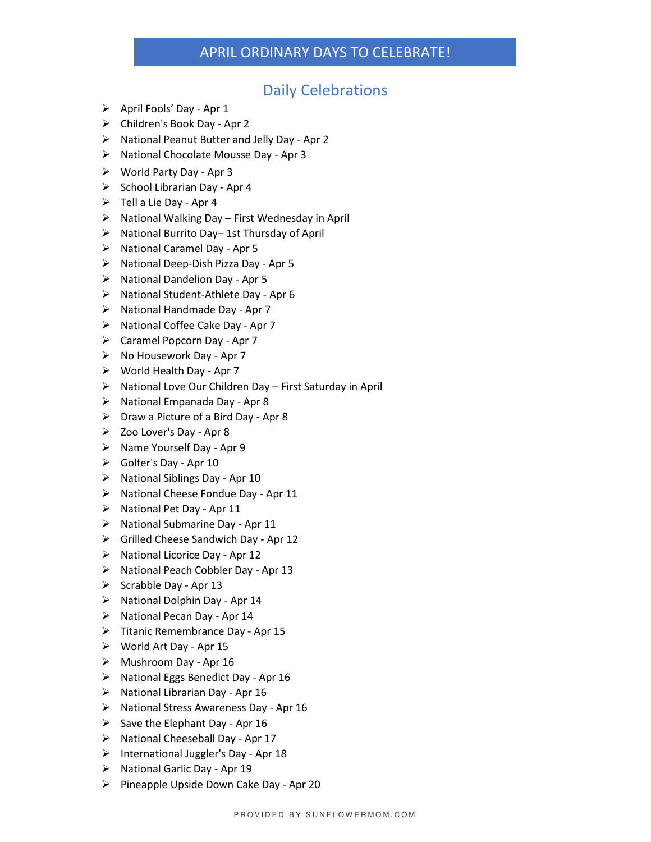### APRIL ORDINARY DAYS TO CELEBRATE!

### Daily Celebrations

- $\triangleright$  April Fools' Day Apr 1
- ➢ Children's Book Day Apr 2
- ➢ National Peanut Butter and Jelly Day Apr 2
- ➢ National Chocolate Mousse Day Apr 3
- ➢ World Party Day Apr 3
- $\triangleright$  School Librarian Day Apr 4
- $\triangleright$  Tell a Lie Day Apr 4
- $\triangleright$  National Walking Day First Wednesday in April
- ➢ National Burrito Day– 1st Thursday of April
- ➢ National Caramel Day Apr 5
- ➢ National Deep-Dish Pizza Day Apr 5
- ➢ National Dandelion Day Apr 5
- ➢ National Student-Athlete Day Apr 6
- ➢ National Handmade Day Apr 7
- ➢ National Coffee Cake Day Apr 7
- ➢ Caramel Popcorn Day Apr 7
- ➢ No Housework Day Apr 7
- ➢ World Health Day Apr 7
- ➢ National Love Our Children Day First Saturday in April
- ➢ National Empanada Day Apr 8
- $\triangleright$  Draw a Picture of a Bird Day Apr 8
- ➢ Zoo Lover's Day Apr 8
- ➢ Name Yourself Day Apr 9
- ➢ Golfer's Day Apr 10
- ➢ National Siblings Day Apr 10
- $\triangleright$  National Cheese Fondue Day Apr 11
- ➢ National Pet Day Apr 11
- $\triangleright$  National Submarine Day Apr 11
- ➢ Grilled Cheese Sandwich Day Apr 12
- ➢ National Licorice Day Apr 12
- ➢ National Peach Cobbler Day Apr 13
- $\triangleright$  Scrabble Day Apr 13
- $\triangleright$  National Dolphin Day Apr 14
- ➢ National Pecan Day Apr 14
- ➢ Titanic Remembrance Day Apr 15
- ➢ World Art Day Apr 15
- $\triangleright$  Mushroom Day Apr 16
- ➢ National Eggs Benedict Day Apr 16
- ➢ National Librarian Day Apr 16
- ➢ National Stress Awareness Day Apr 16
- $\triangleright$  Save the Elephant Day Apr 16
- ➢ National Cheeseball Day Apr 17
- ➢ International Juggler's Day Apr 18
- ➢ National Garlic Day Apr 19
- $\triangleright$  Pineapple Upside Down Cake Day Apr 20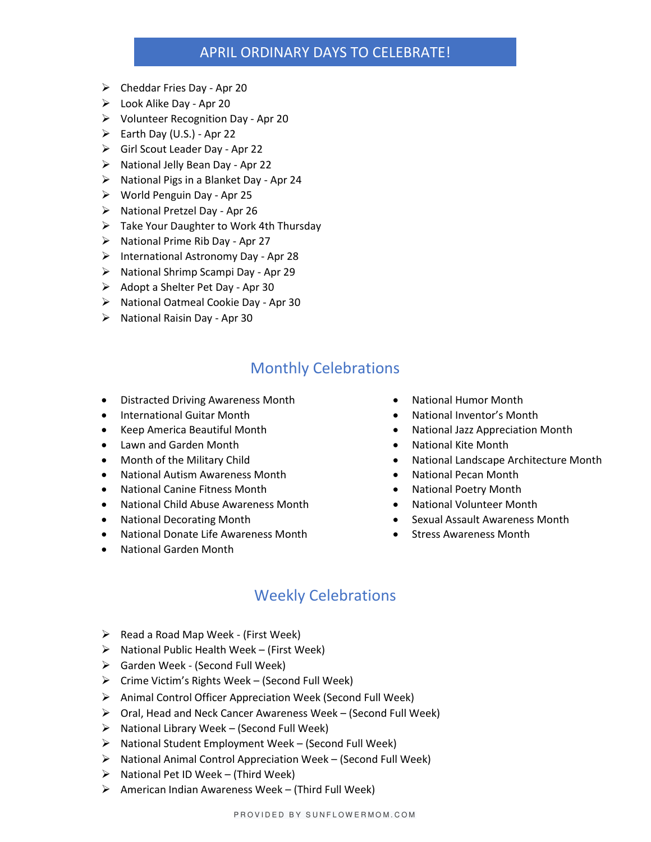### APRIL ORDINARY DAYS TO CELEBRATE!

- $\triangleright$  Cheddar Fries Day Apr 20
- ➢ Look Alike Day Apr 20
- ➢ Volunteer Recognition Day Apr 20
- $\triangleright$  Earth Day (U.S.) Apr 22
- ➢ Girl Scout Leader Day Apr 22
- ➢ National Jelly Bean Day Apr 22
- ➢ National Pigs in a Blanket Day Apr 24
- ➢ World Penguin Day Apr 25
- ➢ National Pretzel Day Apr 26
- ➢ Take Your Daughter to Work 4th Thursday
- ➢ National Prime Rib Day Apr 27
- ➢ International Astronomy Day Apr 28
- ➢ National Shrimp Scampi Day Apr 29
- ➢ Adopt a Shelter Pet Day Apr 30
- ➢ National Oatmeal Cookie Day Apr 30
- ➢ National Raisin Day Apr 30

# Monthly Celebrations

- Distracted Driving Awareness Month National Humor Month
- 
- 
- Lawn and Garden Month  **National Kite Month** National Kite Month
- 
- National Autism Awareness Month National Pecan Month
- National Canine Fitness Month National Poetry Month
- National Child Abuse Awareness Month National Volunteer Month
- 
- National Donate Life Awareness Month Stress Awareness Month
- National Garden Month
- 
- International Guitar Month **•** National Inventor's Month
- Keep America Beautiful Month National Jazz Appreciation Month
	-
	- Month of the Military Child National Landscape Architecture Month
		-
		-
		-
- National Decorating Month  **Sexual Assault Awareness Month** 
	-

## Weekly Celebrations

- ➢ Read a Road Map Week (First Week)
- $\triangleright$  National Public Health Week (First Week)
- ➢ Garden Week (Second Full Week)
- $\triangleright$  Crime Victim's Rights Week (Second Full Week)
- ➢ Animal Control Officer Appreciation Week (Second Full Week)
- ➢ Oral, Head and Neck Cancer Awareness Week (Second Full Week)
- ➢ National Library Week (Second Full Week)
- ➢ National Student Employment Week (Second Full Week)
- ➢ National Animal Control Appreciation Week (Second Full Week)
- $\triangleright$  National Pet ID Week (Third Week)
- ➢ American Indian Awareness Week (Third Full Week)